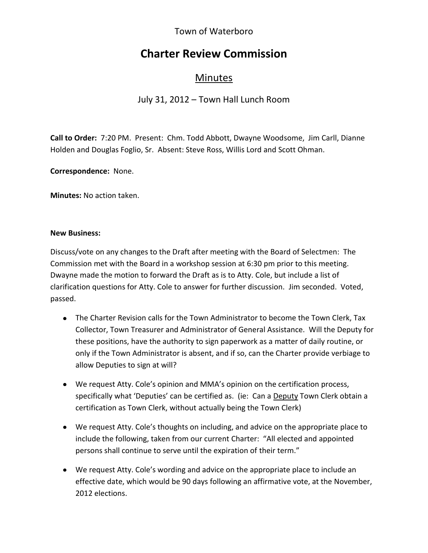## Town of Waterboro

# **Charter Review Commission**

# Minutes

## July 31, 2012 – Town Hall Lunch Room

**Call to Order:** 7:20 PM. Present: Chm. Todd Abbott, Dwayne Woodsome, Jim Carll, Dianne Holden and Douglas Foglio, Sr. Absent: Steve Ross, Willis Lord and Scott Ohman.

**Correspondence:** None.

**Minutes:** No action taken.

#### **New Business:**

Discuss/vote on any changes to the Draft after meeting with the Board of Selectmen: The Commission met with the Board in a workshop session at 6:30 pm prior to this meeting. Dwayne made the motion to forward the Draft as is to Atty. Cole, but include a list of clarification questions for Atty. Cole to answer for further discussion. Jim seconded. Voted, passed.

- The Charter Revision calls for the Town Administrator to become the Town Clerk, Tax Collector, Town Treasurer and Administrator of General Assistance. Will the Deputy for these positions, have the authority to sign paperwork as a matter of daily routine, or only if the Town Administrator is absent, and if so, can the Charter provide verbiage to allow Deputies to sign at will?
- We request Atty. Cole's opinion and MMA's opinion on the certification process, specifically what 'Deputies' can be certified as. (ie: Can a Deputy Town Clerk obtain a certification as Town Clerk, without actually being the Town Clerk)
- We request Atty. Cole's thoughts on including, and advice on the appropriate place to include the following, taken from our current Charter: "All elected and appointed persons shall continue to serve until the expiration of their term."
- We request Atty. Cole's wording and advice on the appropriate place to include an effective date, which would be 90 days following an affirmative vote, at the November, 2012 elections.